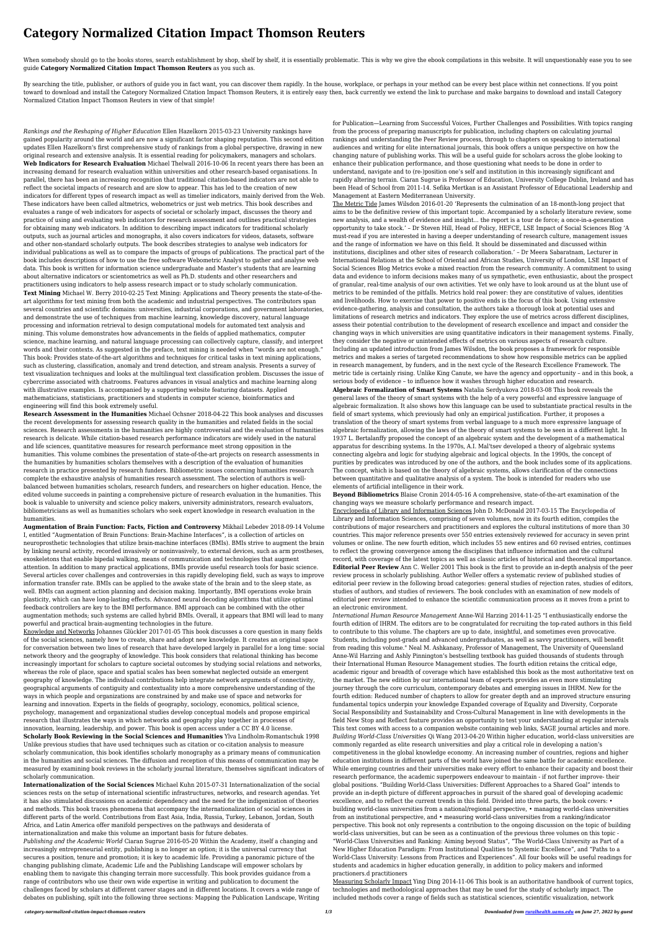# **Category Normalized Citation Impact Thomson Reuters**

When somebody should go to the books stores, search establishment by shop, shelf by shelf, it is essentially problematic. This is why we give the ebook compilations in this website. It will unquestionably ease you to see guide **Category Normalized Citation Impact Thomson Reuters** as you such as.

By searching the title, publisher, or authors of guide you in fact want, you can discover them rapidly. In the house, workplace, or perhaps in your method can be every best place within net connections. If you point toward to download and install the Category Normalized Citation Impact Thomson Reuters, it is entirely easy then, back currently we extend the link to purchase and make bargains to download and install Category Normalized Citation Impact Thomson Reuters in view of that simple!

*Rankings and the Reshaping of Higher Education* Ellen Hazelkorn 2015-03-23 University rankings have gained popularity around the world and are now a significant factor shaping reputation. This second edition updates Ellen Hazelkorn's first comprehensive study of rankings from a global perspective, drawing in new original research and extensive analysis. It is essential reading for policymakers, managers and scholars. **Web Indicators for Research Evaluation** Michael Thelwall 2016-10-06 In recent years there has been an increasing demand for research evaluation within universities and other research-based organisations. In parallel, there has been an increasing recognition that traditional citation-based indicators are not able to reflect the societal impacts of research and are slow to appear. This has led to the creation of new indicators for different types of research impact as well as timelier indicators, mainly derived from the Web. These indicators have been called altmetrics, webometrics or just web metrics. This book describes and evaluates a range of web indicators for aspects of societal or scholarly impact, discusses the theory and practice of using and evaluating web indicators for research assessment and outlines practical strategies for obtaining many web indicators. In addition to describing impact indicators for traditional scholarly outputs, such as journal articles and monographs, it also covers indicators for videos, datasets, software and other non-standard scholarly outputs. The book describes strategies to analyse web indicators for individual publications as well as to compare the impacts of groups of publications. The practical part of the book includes descriptions of how to use the free software Webometric Analyst to gather and analyse web data. This book is written for information science undergraduate and Master's students that are learning about alternative indicators or scientometrics as well as Ph.D. students and other researchers and practitioners using indicators to help assess research impact or to study scholarly communication. **Text Mining** Michael W. Berry 2010-02-25 Text Mining: Applications and Theory presents the state-of-theart algorithms for text mining from both the academic and industrial perspectives. The contributors span several countries and scientific domains: universities, industrial corporations, and government laboratories, and demonstrate the use of techniques from machine learning, knowledge discovery, natural language processing and information retrieval to design computational models for automated text analysis and mining. This volume demonstrates how advancements in the fields of applied mathematics, computer science, machine learning, and natural language processing can collectively capture, classify, and interpret words and their contexts. As suggested in the preface, text mining is needed when "words are not enough." This book: Provides state-of-the-art algorithms and techniques for critical tasks in text mining applications, such as clustering, classification, anomaly and trend detection, and stream analysis. Presents a survey of text visualization techniques and looks at the multilingual text classification problem. Discusses the issue of cybercrime associated with chatrooms. Features advances in visual analytics and machine learning along with illustrative examples. Is accompanied by a supporting website featuring datasets. Applied mathematicians, statisticians, practitioners and students in computer science, bioinformatics and engineering will find this book extremely useful.

**Research Assessment in the Humanities** Michael Ochsner 2018-04-22 This book analyses and discusses the recent developments for assessing research quality in the humanities and related fields in the social sciences. Research assessments in the humanities are highly controversial and the evaluation of humanities research is delicate. While citation-based research performance indicators are widely used in the natural and life sciences, quantitative measures for research performance meet strong opposition in the humanities. This volume combines the presentation of state-of-the-art projects on research assessments in the humanities by humanities scholars themselves with a description of the evaluation of humanities research in practice presented by research funders. Bibliometric issues concerning humanities research complete the exhaustive analysis of humanities research assessment. The selection of authors is wellbalanced between humanities scholars, research funders, and researchers on higher education. Hence, the edited volume succeeds in painting a comprehensive picture of research evaluation in the humanities. This book is valuable to university and science policy makers, university administrators, research evaluators, bibliometricians as well as humanities scholars who seek expert knowledge in research evaluation in the humanities. **Augmentation of Brain Function: Facts, Fiction and Controversy** Mikhail Lebedev 2018-09-14 Volume I, entitled "Augmentation of Brain Functions: Brain-Machine Interfaces", is a collection of articles on neuroprosthetic technologies that utilize brain-machine interfaces (BMIs). BMIs strive to augment the brain by linking neural activity, recorded invasively or noninvasively, to external devices, such as arm prostheses, exoskeletons that enable bipedal walking, means of communication and technologies that augment attention. In addition to many practical applications, BMIs provide useful research tools for basic science. Several articles cover challenges and controversies in this rapidly developing field, such as ways to improve information transfer rate. BMIs can be applied to the awake state of the brain and to the sleep state, as well. BMIs can augment action planning and decision making. Importantly, BMI operations evoke brain plasticity, which can have long-lasting effects. Advanced neural decoding algorithms that utilize optimal feedback controllers are key to the BMI performance. BMI approach can be combined with the other augmentation methods; such systems are called hybrid BMIs. Overall, it appears that BMI will lead to many powerful and practical brain-augmenting technologies in the future. Knowledge and Networks Johannes Glückler 2017-01-05 This book discusses a core question in many fields of the social sciences, namely how to create, share and adopt new knowledge. It creates an original space for conversation between two lines of research that have developed largely in parallel for a long time: social network theory and the geography of knowledge. This book considers that relational thinking has become increasingly important for scholars to capture societal outcomes by studying social relations and networks, whereas the role of place, space and spatial scales has been somewhat neglected outside an emergent geography of knowledge. The individual contributions help integrate network arguments of connectivity, geographical arguments of contiguity and contextuality into a more comprehensive understanding of the ways in which people and organizations are constrained by and make use of space and networks for learning and innovation. Experts in the fields of geography, sociology, economics, political science, psychology, management and organizational studies develop conceptual models and propose empirical research that illustrates the ways in which networks and geography play together in processes of innovation, learning, leadership, and power. This book is open access under a CC BY 4.0 license. **Scholarly Book Reviewing in the Social Sciences and Humanities** Ylva Lindholm-Romantschuk 1998 Unlike previous studies that have used techniques such as citation or co-citation analysis to measure scholarly communication, this book identifies scholarly monography as a primary means of communication in the humanities and social sciences. The diffusion and reception of this means of communication may be measured by examining book reviews in the scholarly journal literature, themselves significant indicators of scholarly communication. **Internationalization of the Social Sciences** Michael Kuhn 2015-07-31 Internationalization of the social sciences rests on the setup of international scientific infrastructures, networks, and research agendas. Yet it has also stimulated discussions on academic dependency and the need for the indigenization of theories and methods. This book traces phenomena that accompany the internationalization of social sciences in different parts of the world. Contributions from East Asia, India, Russia, Turkey, Lebanon, Jordan, South Africa, and Latin America offer manifold perspectives on the pathways and desiderata of internationalization and make this volume an important basis for future debates. *Publishing and the Academic World* Ciaran Sugrue 2016-05-20 Within the Academy, itself a changing and increasingly entrepreneurial entity, publishing is no longer an option; it is the universal currency that secures a position, tenure and promotion; it is key to academic life. Providing a panoramic picture of the changing publishing climate, Academic Life and the Publishing Landscape will empower scholars by enabling them to navigate this changing terrain more successfully. This book provides guidance from a range of contributors who use their own wide expertise in writing and publication to document the challenges faced by scholars at different career stages and in different locations. It covers a wide range of debates on publishing, spilt into the following three sections: Mapping the Publication Landscape, Writing

for Publication—Learning from Successful Voices, Further Challenges and Possibilities. With topics ranging from the process of preparing manuscripts for publication, including chapters on calculating journal rankings and understanding the Peer Review process, through to chapters on speaking to international audiences and writing for elite international journals, this book offers a unique perspective on how the changing nature of publishing works. This will be a useful guide for scholars across the globe looking to enhance their publication performance, and those questioning what needs to be done in order to understand, navigate and to (re-)position one's self and institution in this increasingly significant and rapidly altering terrain. Ciaran Sugrue is Professor of Education, University College Dublin, Ireland and has been Head of School from 2011-14. Sefika Mertkan is an Assistant Professor of Educational Leadership and Management at Eastern Mediterranean University.

The Metric Tide James Wilsdon 2016-01-20 'Represents the culmination of an 18-month-long project that aims to be the definitive review of this important topic. Accompanied by a scholarly literature review, some new analysis, and a wealth of evidence and insight... the report is a tour de force; a once-in-a-generation opportunity to take stock.' – Dr Steven Hill, Head of Policy, HEFCE, LSE Impact of Social Sciences Blog 'A must-read if you are interested in having a deeper understanding of research culture, management issues and the range of information we have on this field. It should be disseminated and discussed within institutions, disciplines and other sites of research collaboration.' – Dr Meera Sabaratnam, Lecturer in International Relations at the School of Oriental and African Studies, University of London, LSE Impact of Social Sciences Blog Metrics evoke a mixed reaction from the research community. A commitment to using data and evidence to inform decisions makes many of us sympathetic, even enthusiastic, about the prospect of granular, real-time analysis of our own activities. Yet we only have to look around us at the blunt use of metrics to be reminded of the pitfalls. Metrics hold real power: they are constitutive of values, identities and livelihoods. How to exercise that power to positive ends is the focus of this book. Using extensive evidence-gathering, analysis and consultation, the authors take a thorough look at potential uses and limitations of research metrics and indicators. They explore the use of metrics across different disciplines, assess their potential contribution to the development of research excellence and impact and consider the changing ways in which universities are using quantitative indicators in their management systems. Finally, they consider the negative or unintended effects of metrics on various aspects of research culture. Including an updated introduction from James Wilsdon, the book proposes a framework for responsible metrics and makes a series of targeted recommendations to show how responsible metrics can be applied in research management, by funders, and in the next cycle of the Research Excellence Framework. The metric tide is certainly rising. Unlike King Canute, we have the agency and opportunity – and in this book, a serious body of evidence – to influence how it washes through higher education and research. **Algebraic Formalization of Smart Systems** Natalia Serdyukova 2018-03-08 This book reveals the general laws of the theory of smart systems with the help of a very powerful and expressive language of algebraic formalization. It also shows how this language can be used to substantiate practical results in the field of smart systems, which previously had only an empirical justification. Further, it proposes a translation of the theory of smart systems from verbal language to a much more expressive language of algebraic formalization, allowing the laws of the theory of smart systems to be seen in a different light. In 1937 L. Bertalanffy proposed the concept of an algebraic system and the development of a mathematical apparatus for describing systems. In the 1970s, A.I. Mal'tsev developed a theory of algebraic systems connecting algebra and logic for studying algebraic and logical objects. In the 1990s, the concept of purities by predicates was introduced by one of the authors, and the book includes some of its applications. The concept, which is based on the theory of algebraic systems, allows clarification of the connections between quantitative and qualitative analysis of a system. The book is intended for readers who use elements of artificial intelligence in their work.

**Beyond Bibliometrics** Blaise Cronin 2014-05-16 A comprehensive, state-of-the-art examination of the changing ways we measure scholarly performance and research impact.

Encyclopedia of Library and Information Sciences John D. McDonald 2017-03-15 The Encyclopedia of Library and Information Sciences, comprising of seven volumes, now in its fourth edition, compiles the contributions of major researchers and practitioners and explores the cultural institutions of more than 30 countries. This major reference presents over 550 entries extensively reviewed for accuracy in seven print volumes or online. The new fourth edition, which includes 55 new entires and 60 revised entries, continues to reflect the growing convergence among the disciplines that influence information and the cultural record, with coverage of the latest topics as well as classic articles of historical and theoretical importance. **Editorial Peer Review** Ann C. Weller 2001 This book is the first to provide an in-depth analysis of the peer review process in scholarly publishing. Author Weller offers a systematic review of published studies of editorial peer review in the following broad categories: general studies of rejection rates, studies of editors, studies of authors, and studies of reviewers. The book concludes with an examination of new models of editorial peer review intended to enhance the scientific communication process as it moves from a print to an electronic environment.

*International Human Resource Management* Anne-Wil Harzing 2014-11-25 "I enthusiastically endorse the fourth edition of IHRM. The editors are to be congratulated for recruiting the top-rated authors in this field to contribute to this volume. The chapters are up to date, insightful, and sometimes even provocative. Students, including post-grads and advanced undergraduates, as well as savvy practitioners, will benefit from reading this volume." Neal M. Ashkanasy, Professor of Management, The University of Queensland Anne-Wil Harzing and Ashly Pinnington's bestselling textbook has guided thousands of students through their International Human Resource Management studies. The fourth edition retains the critical edge, academic rigour and breadth of coverage which have established this book as the most authoritative text on the market. The new edition by our international team of experts provides an even more stimulating journey through the core curriculum, contemporary debates and emerging issues in IHRM. New for the fourth edition: Reduced number of chapters to allow for greater depth and an improved structure ensuring fundamental topics underpin your knowledge Expanded coverage of Equality and Diversity, Corporate Social Responsibility and Sustainability and Cross-Cultural Management in line with developments in the field New Stop and Reflect feature provides an opportunity to test your understanding at regular intervals This text comes with access to a companion website containing web links, SAGE journal articles and more. *Building World-Class Universities* Qi Wang 2013-04-20 Within higher education, world-class universities are commonly regarded as elite research universities and play a critical role in developing a nation's competitiveness in the global knowledge economy. An increasing number of countries, regions and higher education institutions in different parts of the world have joined the same battle for academic excellence. While emerging countries and their universities make every effort to enhance their capacity and boost their research performance, the academic superpowers endeavour to maintain - if not further improve- their global positions. "Building World-Class Universities: Different Approaches to a Shared Goal" intends to provide an in-depth picture of different approaches in pursuit of the shared goal of developing academic excellence, and to reflect the current trends in this field. Divided into three parts, the book covers: • building world-class universities from a national/regional perspective, • managing world-class universities from an institutional perspective, and • measuring world-class universities from a ranking/indicator perspective. This book not only represents a contribution to the ongoing discussion on the topic of building world-class universities, but can be seen as a continuation of the previous three volumes on this topic - "World-Class Universities and Ranking: Aiming beyond Status", "The World-Class University as Part of a New Higher Education Paradigm: From Institutional Qualities to Systemic Excellence", and "Paths to a World-Class University: Lessons from Practices and Experiences". All four books will be useful readings for students and academics in higher education generally, in addition to policy makers and informed practioners.d practitioners

Measuring Scholarly Impact Ying Ding 2014-11-06 This book is an authoritative handbook of current topics, technologies and methodological approaches that may be used for the study of scholarly impact. The included methods cover a range of fields such as statistical sciences, scientific visualization, network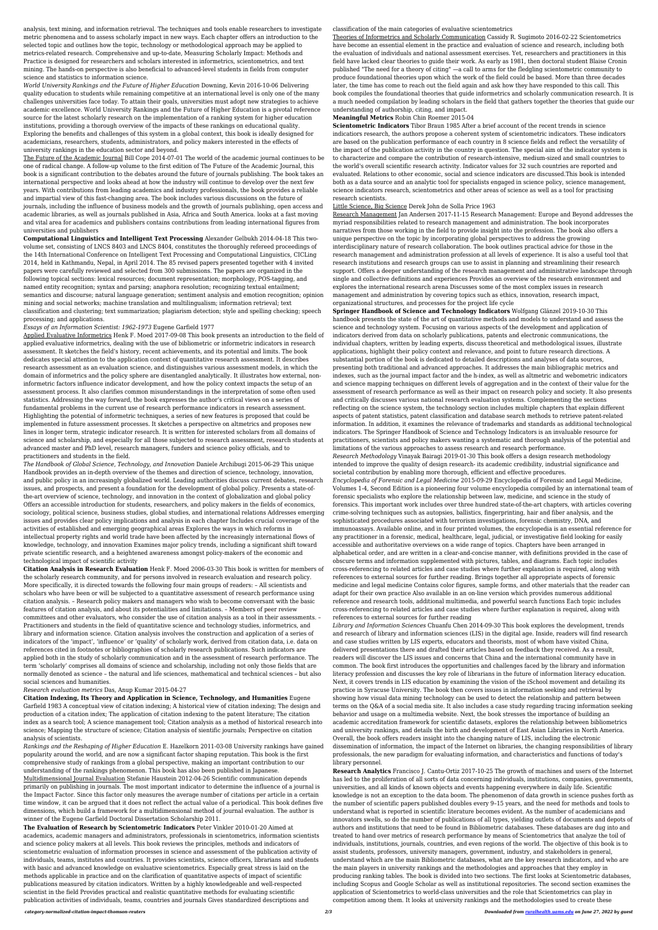analysis, text mining, and information retrieval. The techniques and tools enable researchers to investigate metric phenomena and to assess scholarly impact in new ways. Each chapter offers an introduction to the selected topic and outlines how the topic, technology or methodological approach may be applied to metrics-related research. Comprehensive and up-to-date, Measuring Scholarly Impact: Methods and Practice is designed for researchers and scholars interested in informetrics, scientometrics, and text mining. The hands-on perspective is also beneficial to advanced-level students in fields from computer science and statistics to information science.

*World University Rankings and the Future of Higher Education* Downing, Kevin 2016-10-06 Delivering quality education to students while remaining competitive at an international level is only one of the many challenges universities face today. To attain their goals, universities must adopt new strategies to achieve academic excellence. World University Rankings and the Future of Higher Education is a pivotal reference source for the latest scholarly research on the implementation of a ranking system for higher education institutions, providing a thorough overview of the impacts of these rankings on educational quality. Exploring the benefits and challenges of this system in a global context, this book is ideally designed for academicians, researchers, students, administrators, and policy makers interested in the effects of university rankings in the education sector and beyond.

The Future of the Academic Journal Bill Cope 2014-07-01 The world of the academic journal continues to be one of radical change. A follow-up volume to the first edition of The Future of the Academic Journal, this book is a significant contribution to the debates around the future of journals publishing. The book takes an international perspective and looks ahead at how the industry will continue to develop over the next few years. With contributions from leading academics and industry professionals, the book provides a reliable and impartial view of this fast-changing area. The book includes various discussions on the future of journals, including the influence of business models and the growth of journals publishing, open access and academic libraries, as well as journals published in Asia, Africa and South America. looks at a fast moving and vital area for academics and publishers contains contributions from leading international figures from universities and publishers

**Computational Linguistics and Intelligent Text Processing** Alexander Gelbukh 2014-04-18 This twovolume set, consisting of LNCS 8403 and LNCS 8404, constitutes the thoroughly refereed proceedings of the 14th International Conference on Intelligent Text Processing and Computational Linguistics, CICLing 2014, held in Kathmandu, Nepal, in April 2014. The 85 revised papers presented together with 4 invited papers were carefully reviewed and selected from 300 submissions. The papers are organized in the following topical sections: lexical resources; document representation; morphology, POS-tagging, and named entity recognition; syntax and parsing; anaphora resolution; recognizing textual entailment; semantics and discourse; natural language generation; sentiment analysis and emotion recognition; opinion mining and social networks; machine translation and multilingualism; information retrieval; text classification and clustering; text summarization; plagiarism detection; style and spelling checking; speech processing; and applications.

## *Essays of an Information Scientist: 1962-1973* Eugene Garfield 1977

Applied Evaluative Informetrics Henk F. Moed 2017-09-08 This book presents an introduction to the field of applied evaluative informetrics, dealing with the use of bibliometric or informetric indicators in research assessment. It sketches the field's history, recent achievements, and its potential and limits. The book dedicates special attention to the application context of quantitative research assessment. It describes research assessment as an evaluation science, and distinguishes various assessment models, in which the domain of informetrics and the policy sphere are disentangled analytically. It illustrates how external, noninformetric factors influence indicator development, and how the policy context impacts the setup of an assessment process. It also clarifies common misunderstandings in the interpretation of some often used statistics. Addressing the way forward, the book expresses the author's critical views on a series of fundamental problems in the current use of research performance indicators in research assessment. Highlighting the potential of informetric techniques, a series of new features is proposed that could be implemented in future assessment processes. It sketches a perspective on altmetrics and proposes new lines in longer term, strategic indicator research. It is written for interested scholars from all domains of science and scholarship, and especially for all those subjected to research assessment, research students at advanced master and PhD level, research managers, funders and science policy officials, and to practitioners and students in the field.

*The Handbook of Global Science, Technology, and Innovation* Daniele Archibugi 2015-06-29 This unique Handbook provides an in-depth overview of the themes and direction of science, technology, innovation, and public policy in an increasingly globalized world. Leading authorities discuss current debates, research issues, and prospects, and present a foundation for the development of global policy. Presents a state-ofthe-art overview of science, technology, and innovation in the context of globalization and global policy Offers an accessible introduction for students, researchers, and policy makers in the fields of economics, sociology, political science, business studies, global studies, and international relations Addresses emerging issues and provides clear policy implications and analysis in each chapter Includes crucial coverage of the activities of established and emerging geographical areas Explores the ways in which reforms in intellectual property rights and world trade have been affected by the increasingly international flows of knowledge, technology, and innovation Examines major policy trends, including a significant shift toward private scientific research, and a heightened awareness amongst policy-makers of the economic and technological impact of scientific activity **Citation Analysis in Research Evaluation** Henk F. Moed 2006-03-30 This book is written for members of the scholarly research community, and for persons involved in research evaluation and research policy. More specifically, it is directed towards the following four main groups of readers: – All scientists and scholars who have been or will be subjected to a quantitative assessment of research performance using citation analysis. – Research policy makers and managers who wish to become conversant with the basic features of citation analysis, and about its potentialities and limitations. – Members of peer review committees and other evaluators, who consider the use of citation analysis as a tool in their assessments. – Practitioners and students in the field of quantitative science and technology studies, informetrics, and library and information science. Citation analysis involves the construction and application of a series of indicators of the 'impact', 'influence' or 'quality' of scholarly work, derived from citation data, i.e. data on references cited in footnotes or bibliographies of scholarly research publications. Such indicators are applied both in the study of scholarly communication and in the assessment of research performance. The term 'scholarly' comprises all domains of science and scholarship, including not only those fields that are normally denoted as science – the natural and life sciences, mathematical and technical sciences – but also social sciences and humanities.

*Research evaluation metrics* Das, Anup Kumar 2015-04-27

**Citation Indexing, Its Theory and Application in Science, Technology, and Humanities** Eugene Garfield 1983 A conceptual view of citation indexing; A historical view of citation indexing; The design and production of a citation index; The application of citation indexing to the patent literature; The citation index as a search tool; A science management tool; Citation analysis as a method of historical research into science; Mapping the structure of science; Citation analysis of sientific journals; Perspective on citation analysis of scientists.

*Rankings and the Reshaping of Higher Education* E. Hazelkorn 2011-03-08 University rankings have gained popularity around the world, and are now a significant factor shaping reputation. This book is the first comprehensive study of rankings from a global perspective, making an important contribution to our understanding of the rankings phenomenon. This book has also been published in Japanese. Multidimensional Journal Evaluation Stefanie Haustein 2012-04-26 Scientific communication depends primarily on publishing in journals. The most important indicator to determine the influence of a journal is the Impact Factor. Since this factor only measures the average number of citations per article in a certain time window, it can be argued that it does not reflect the actual value of a periodical. This book defines five dimensions, which build a framework for a multidimensional method of journal evaluation. The author is winner of the Eugene Garfield Doctoral Dissertation Scholarship 2011.

**The Evaluation of Research by Scientometric Indicators** Peter Vinkler 2010-01-20 Aimed at academics, academic managers and administrators, professionals in scientometrics, information scientists and science policy makers at all levels. This book reviews the principles, methods and indicators of scientometric evaluation of information processes in science and assessment of the publication activity of individuals, teams, institutes and countries. It provides scientists, science officers, librarians and students with basic and advanced knowledge on evaluative scientometrics. Especially great stress is laid on the methods applicable in practice and on the clarification of quantitative aspects of impact of scientific publications measured by citation indicators. Written by a highly knowledgeable and well-respected scientist in the field Provides practical and realistic quantitative methods for evaluating scientific publication activities of individuals, teams, countries and journals Gives standardized descriptions and

#### classification of the main categories of evaluative scientometrics

Theories of Informetrics and Scholarly Communication Cassidy R. Sugimoto 2016-02-22 Scientometrics have become an essential element in the practice and evaluation of science and research, including both the evaluation of individuals and national assessment exercises. Yet, researchers and practitioners in this field have lacked clear theories to guide their work. As early as 1981, then doctoral student Blaise Cronin published "The need for a theory of citing" —a call to arms for the fledgling scientometric community to produce foundational theories upon which the work of the field could be based. More than three decades later, the time has come to reach out the field again and ask how they have responded to this call. This book compiles the foundational theories that guide informetrics and scholarly communication research. It is a much needed compilation by leading scholars in the field that gathers together the theories that guide our understanding of authorship, citing, and impact.

# **Meaningful Metrics** Robin Chin Roemer 2015-04

**Scientometric Indicators** Tibor Braun 1985 After a brief account of the recent trends in science indicatiors research, the authors propose a coherent system of scientometric indicators. These indicators are based on the publication performance of each country in 8 science fields and reflect the versatility of the impact of the publication activity in the country in question. The special aim of the indicator system is to characterize and compare the contribution of research-intensive, medium-sized and small countries to the world's overall scientific research activity. Indicator values for 32 such countries are reported and evaluated. Relations to other economic, social and science indicators are discussed.This book is intended both as a data source and an analytic tool for specialists engaged in science policy, science management, science indicators research, scientometrics and other areas of science as well as a tool for practising research scientists.

## Little Science, Big Science Derek John de Solla Price 1963

Research Management Jan Andersen 2017-11-15 Research Management: Europe and Beyond addresses the myriad responsibilities related to research management and administration. The book incorporates narratives from those working in the field to provide insight into the profession. The book also offers a unique perspective on the topic by incorporating global perspectives to address the growing interdisciplinary nature of research collaboration. The book outlines practical advice for those in the research management and administration profession at all levels of experience. It is also a useful tool that research institutions and research groups can use to assist in planning and streamlining their research support. Offers a deeper understanding of the research management and administrative landscape through single and collective definitions and experiences Provides an overview of the research environment and explores the international research arena Discusses some of the most complex issues in research management and administration by covering topics such as ethics, innovation, research impact, organizational structures, and processes for the project life cycle

**Springer Handbook of Science and Technology Indicators** Wolfgang Glänzel 2019-10-30 This handbook presents the state of the art of quantitative methods and models to understand and assess the science and technology system. Focusing on various aspects of the development and application of indicators derived from data on scholarly publications, patents and electronic communications, the individual chapters, written by leading experts, discuss theoretical and methodological issues, illustrate applications, highlight their policy context and relevance, and point to future research directions. A substantial portion of the book is dedicated to detailed descriptions and analyses of data sources, presenting both traditional and advanced approaches. It addresses the main bibliographic metrics and indexes, such as the journal impact factor and the h-index, as well as altmetric and webometric indicators and science mapping techniques on different levels of aggregation and in the context of their value for the assessment of research performance as well as their impact on research policy and society. It also presents and critically discusses various national research evaluation systems. Complementing the sections reflecting on the science system, the technology section includes multiple chapters that explain different aspects of patent statistics, patent classification and database search methods to retrieve patent-related information. In addition, it examines the relevance of trademarks and standards as additional technological indicators. The Springer Handbook of Science and Technology Indicators is an invaluable resource for practitioners, scientists and policy makers wanting a systematic and thorough analysis of the potential and limitations of the various approaches to assess research and research performance.

*Research Methodology* Vinayak Bairagi 2019-01-30 This book offers a design research methodology intended to improve the quality of design research- its academic credibility, industrial significance and societal contribution by enabling more thorough, efficient and effective procedures.

*Encyclopedia of Forensic and Legal Medicine* 2015-09-29 Encyclopedia of Forensic and Legal Medicine, Volumes 1-4, Second Edition is a pioneering four volume encyclopedia compiled by an international team of forensic specialists who explore the relationship between law, medicine, and science in the study of forensics. This important work includes over three hundred state-of-the-art chapters, with articles covering crime-solving techniques such as autopsies, ballistics, fingerprinting, hair and fiber analysis, and the sophisticated procedures associated with terrorism investigations, forensic chemistry, DNA, and immunoassays. Available online, and in four printed volumes, the encyclopedia is an essential reference for any practitioner in a forensic, medical, healthcare, legal, judicial, or investigative field looking for easily accessible and authoritative overviews on a wide range of topics. Chapters have been arranged in alphabetical order, and are written in a clear-and-concise manner, with definitions provided in the case of obscure terms and information supplemented with pictures, tables, and diagrams. Each topic includes cross-referencing to related articles and case studies where further explanation is required, along with references to external sources for further reading. Brings together all appropriate aspects of forensic medicine and legal medicine Contains color figures, sample forms, and other materials that the reader can adapt for their own practice Also available in an on-line version which provides numerous additional reference and research tools, additional multimedia, and powerful search functions Each topic includes cross-referencing to related articles and case studies where further explanation is required, along with references to external sources for further reading *Library and Information Sciences* Chuanfu Chen 2014-09-30 This book explores the development, trends and research of library and information sciences (LIS) in the digital age. Inside, readers will find research and case studies written by LIS experts, educators and theorists, most of whom have visited China, delivered presentations there and drafted their articles based on feedback they received. As a result, readers will discover the LIS issues and concerns that China and the international community have in common. The book first introduces the opportunities and challenges faced by the library and information literacy profession and discusses the key role of librarians in the future of information literacy education. Next, it covers trends in LIS education by examining the vision of the iSchool movement and detailing its practice in Syracuse University. The book then covers issues in information seeking and retrieval by showing how visual data mining technology can be used to detect the relationship and pattern between terms on the Q&A of a social media site. It also includes a case study regarding tracing information seeking behavior and usage on a multimedia website. Next, the book stresses the importance of building an academic accreditation framework for scientific datasets, explores the relationship between bibliometrics and university rankings, and details the birth and development of East Asian Libraries in North America. Overall, the book offers readers insight into the changing nature of LIS, including the electronic dissemination of information, the impact of the Internet on libraries, the changing responsibilities of library professionals, the new paradigm for evaluating information, and characteristics and functions of today's library personnel. **Research Analytics** Francisco J. Cantu-Ortiz 2017-10-25 The growth of machines and users of the Internet has led to the proliferation of all sorts of data concerning individuals, institutions, companies, governments, universities, and all kinds of known objects and events happening everywhere in daily life. Scientific knowledge is not an exception to the data boom. The phenomenon of data growth in science pushes forth as the number of scientific papers published doubles every 9–15 years, and the need for methods and tools to understand what is reported in scientific literature becomes evident. As the number of academicians and innovators swells, so do the number of publications of all types, yielding outlets of documents and depots of authors and institutions that need to be found in Bibliometric databases. These databases are dug into and treated to hand over metrics of research performance by means of Scientometrics that analyze the toil of individuals, institutions, journals, countries, and even regions of the world. The objective of this book is to assist students, professors, university managers, government, industry, and stakeholders in general, understand which are the main Bibliometric databases, what are the key research indicators, and who are the main players in university rankings and the methodologies and approaches that they employ in producing ranking tables. The book is divided into two sections. The first looks at Scientometric databases, including Scopus and Google Scholar as well as institutional repositories. The second section examines the application of Scientometrics to world-class universities and the role that Scientometrics can play in competition among them. It looks at university rankings and the methodologies used to create these